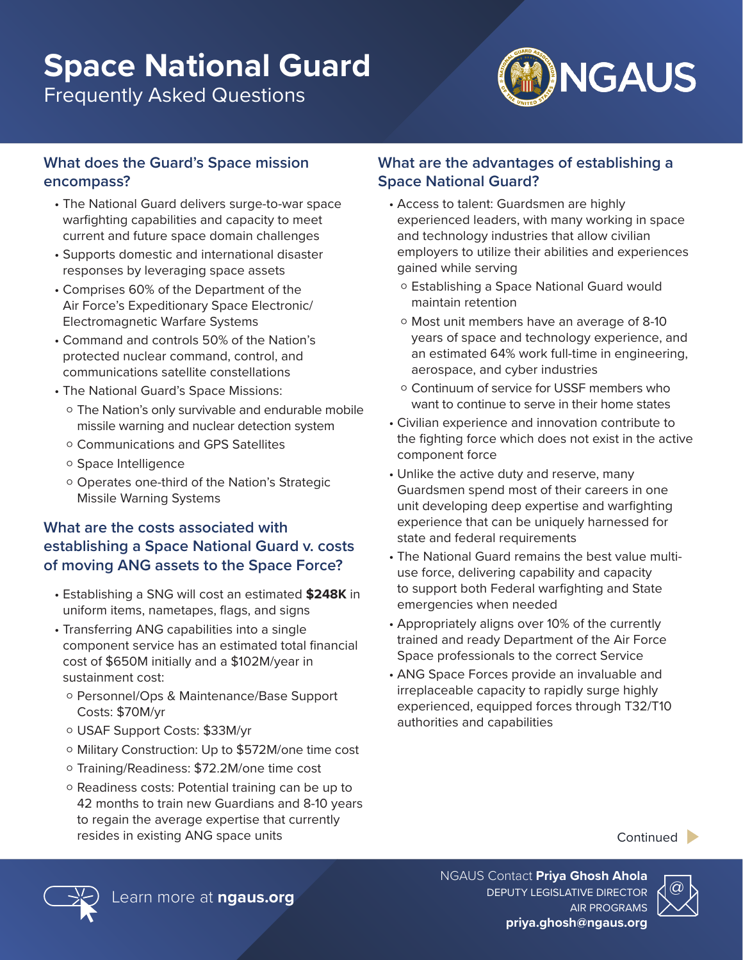# **Space National Guard**

Frequently Asked Questions



#### **What does the Guard's Space mission encompass?**

- The National Guard delivers surge-to-war space warfighting capabilities and capacity to meet current and future space domain challenges
- Supports domestic and international disaster responses by leveraging space assets
- Comprises 60% of the Department of the Air Force's Expeditionary Space Electronic/ Electromagnetic Warfare Systems
- Command and controls 50% of the Nation's protected nuclear command, control, and communications satellite constellations
- The National Guard's Space Missions:
	- o The Nation's only survivable and endurable mobile missile warning and nuclear detection system
	- o Communications and GPS Satellites
	- o Space Intelligence
	- o Operates one-third of the Nation's Strategic Missile Warning Systems

### **What are the costs associated with establishing a Space National Guard v. costs of moving ANG assets to the Space Force?**

- Establishing a SNG will cost an estimated **\$248K** in uniform items, nametapes, flags, and signs
- Transferring ANG capabilities into a single component service has an estimated total financial cost of \$650M initially and a \$102M/year in sustainment cost:
	- o Personnel/Ops & Maintenance/Base Support Costs: \$70M/yr
	- o USAF Support Costs: \$33M/yr
	- o Military Construction: Up to \$572M/one time cost
	- o Training/Readiness: \$72.2M/one time cost
	- o Readiness costs: Potential training can be up to 42 months to train new Guardians and 8-10 years to regain the average expertise that currently resides in existing ANG space units

#### **What are the advantages of establishing a Space National Guard?**

- Access to talent: Guardsmen are highly experienced leaders, with many working in space and technology industries that allow civilian employers to utilize their abilities and experiences gained while serving
	- o Establishing a Space National Guard would maintain retention
	- o Most unit members have an average of 8-10 years of space and technology experience, and an estimated 64% work full-time in engineering, aerospace, and cyber industries
	- o Continuum of service for USSF members who want to continue to serve in their home states
- Civilian experience and innovation contribute to the fighting force which does not exist in the active component force
- Unlike the active duty and reserve, many Guardsmen spend most of their careers in one unit developing deep expertise and warfighting experience that can be uniquely harnessed for state and federal requirements
- The National Guard remains the best value multiuse force, delivering capability and capacity to support both Federal warfighting and State emergencies when needed
- Appropriately aligns over 10% of the currently trained and ready Department of the Air Force Space professionals to the correct Service
- ANG Space Forces provide an invaluable and irreplaceable capacity to rapidly surge highly experienced, equipped forces through T32/T10 authorities and capabilities





@ Learn more at **ngaus.org** DEPUTY LEGISLATIVE DIRECTOR NGAUS Contact **Priya Ghosh Ahola** AIR PROGRAMS **priya.ghosh@ngaus.org**